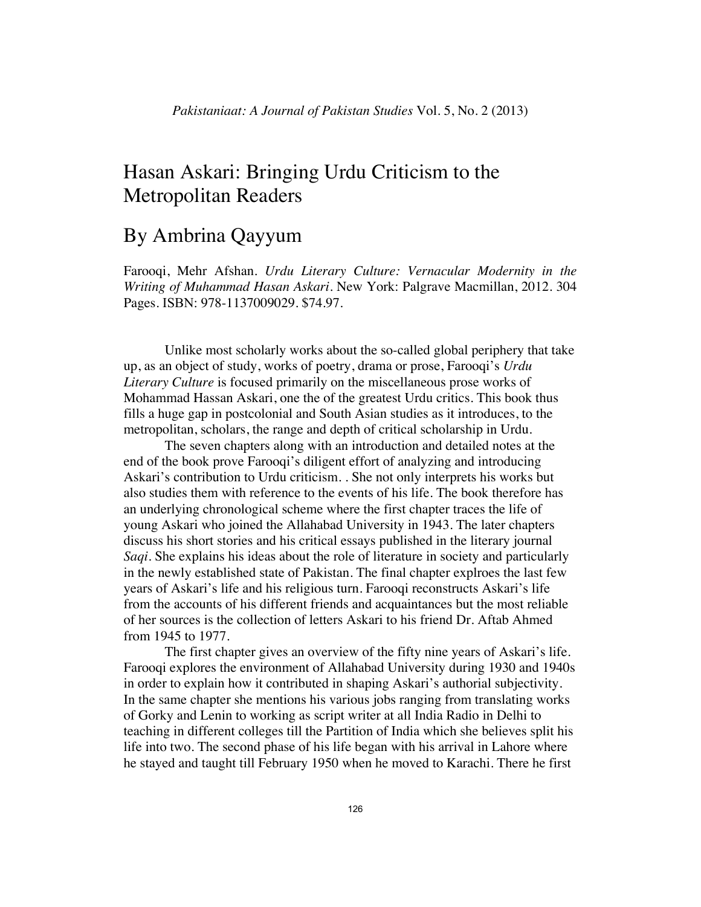## Hasan Askari: Bringing Urdu Criticism to the Metropolitan Readers

## By Ambrina Qayyum

Farooqi, Mehr Afshan. *Urdu Literary Culture: Vernacular Modernity in the Writing of Muhammad Hasan Askari.* New York: Palgrave Macmillan, 2012. 304 Pages. ISBN: 978-1137009029. \$74.97.

Unlike most scholarly works about the so-called global periphery that take up, as an object of study, works of poetry, drama or prose, Farooqi's *Urdu Literary Culture* is focused primarily on the miscellaneous prose works of Mohammad Hassan Askari, one the of the greatest Urdu critics. This book thus fills a huge gap in postcolonial and South Asian studies as it introduces, to the metropolitan, scholars, the range and depth of critical scholarship in Urdu.

The seven chapters along with an introduction and detailed notes at the end of the book prove Farooqi's diligent effort of analyzing and introducing Askari's contribution to Urdu criticism. . She not only interprets his works but also studies them with reference to the events of his life. The book therefore has an underlying chronological scheme where the first chapter traces the life of young Askari who joined the Allahabad University in 1943. The later chapters discuss his short stories and his critical essays published in the literary journal *Saqi*. She explains his ideas about the role of literature in society and particularly in the newly established state of Pakistan. The final chapter explroes the last few years of Askari's life and his religious turn. Farooqi reconstructs Askari's life from the accounts of his different friends and acquaintances but the most reliable of her sources is the collection of letters Askari to his friend Dr. Aftab Ahmed from 1945 to 1977.

 The first chapter gives an overview of the fifty nine years of Askari's life. Farooqi explores the environment of Allahabad University during 1930 and 1940s in order to explain how it contributed in shaping Askari's authorial subjectivity. In the same chapter she mentions his various jobs ranging from translating works of Gorky and Lenin to working as script writer at all India Radio in Delhi to teaching in different colleges till the Partition of India which she believes split his life into two. The second phase of his life began with his arrival in Lahore where he stayed and taught till February 1950 when he moved to Karachi. There he first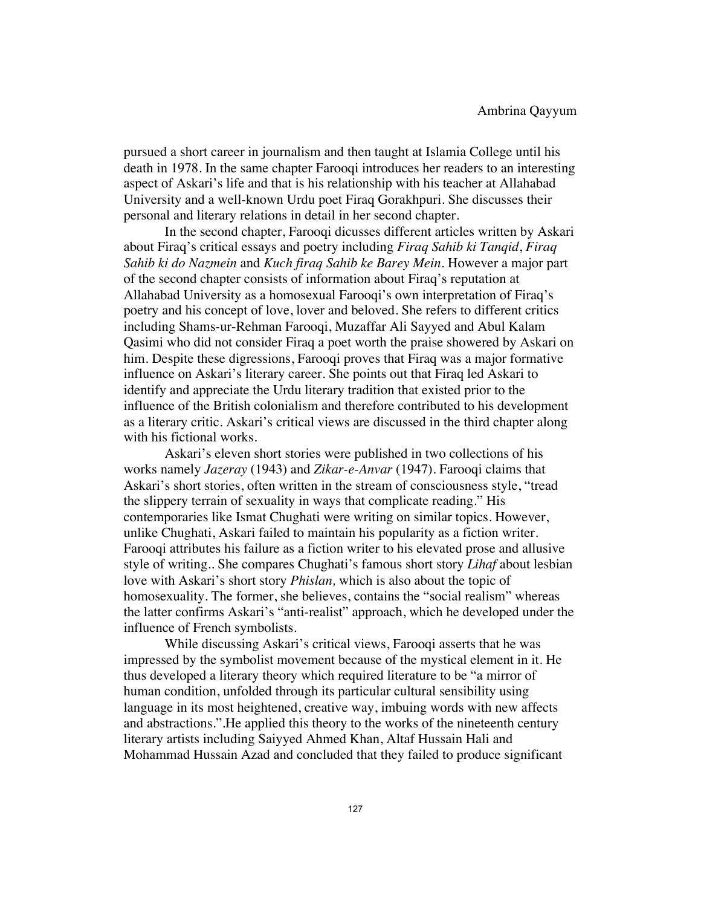pursued a short career in journalism and then taught at Islamia College until his death in 1978. In the same chapter Farooqi introduces her readers to an interesting aspect of Askari's life and that is his relationship with his teacher at Allahabad University and a well-known Urdu poet Firaq Gorakhpuri. She discusses their personal and literary relations in detail in her second chapter.

 In the second chapter, Farooqi dicusses different articles written by Askari about Firaq's critical essays and poetry including *Firaq Sahib ki Tanqid*, *Firaq Sahib ki do Nazmein* and *Kuch firaq Sahib ke Barey Mein*. However a major part of the second chapter consists of information about Firaq's reputation at Allahabad University as a homosexual Farooqi's own interpretation of Firaq's poetry and his concept of love, lover and beloved. She refers to different critics including Shams-ur-Rehman Farooqi, Muzaffar Ali Sayyed and Abul Kalam Qasimi who did not consider Firaq a poet worth the praise showered by Askari on him. Despite these digressions, Farooqi proves that Firaq was a major formative influence on Askari's literary career. She points out that Firaq led Askari to identify and appreciate the Urdu literary tradition that existed prior to the influence of the British colonialism and therefore contributed to his development as a literary critic. Askari's critical views are discussed in the third chapter along with his fictional works.

 Askari's eleven short stories were published in two collections of his works namely *Jazeray* (1943) and *Zikar-e-Anvar* (1947). Farooqi claims that Askari's short stories, often written in the stream of consciousness style, "tread the slippery terrain of sexuality in ways that complicate reading." His contemporaries like Ismat Chughati were writing on similar topics. However, unlike Chughati, Askari failed to maintain his popularity as a fiction writer. Farooqi attributes his failure as a fiction writer to his elevated prose and allusive style of writing.. She compares Chughati's famous short story *Lihaf* about lesbian love with Askari's short story *Phislan,* which is also about the topic of homosexuality. The former, she believes, contains the "social realism" whereas the latter confirms Askari's "anti-realist" approach, which he developed under the influence of French symbolists.

 While discussing Askari's critical views, Farooqi asserts that he was impressed by the symbolist movement because of the mystical element in it. He thus developed a literary theory which required literature to be "a mirror of human condition, unfolded through its particular cultural sensibility using language in its most heightened, creative way, imbuing words with new affects and abstractions.".He applied this theory to the works of the nineteenth century literary artists including Saiyyed Ahmed Khan, Altaf Hussain Hali and Mohammad Hussain Azad and concluded that they failed to produce significant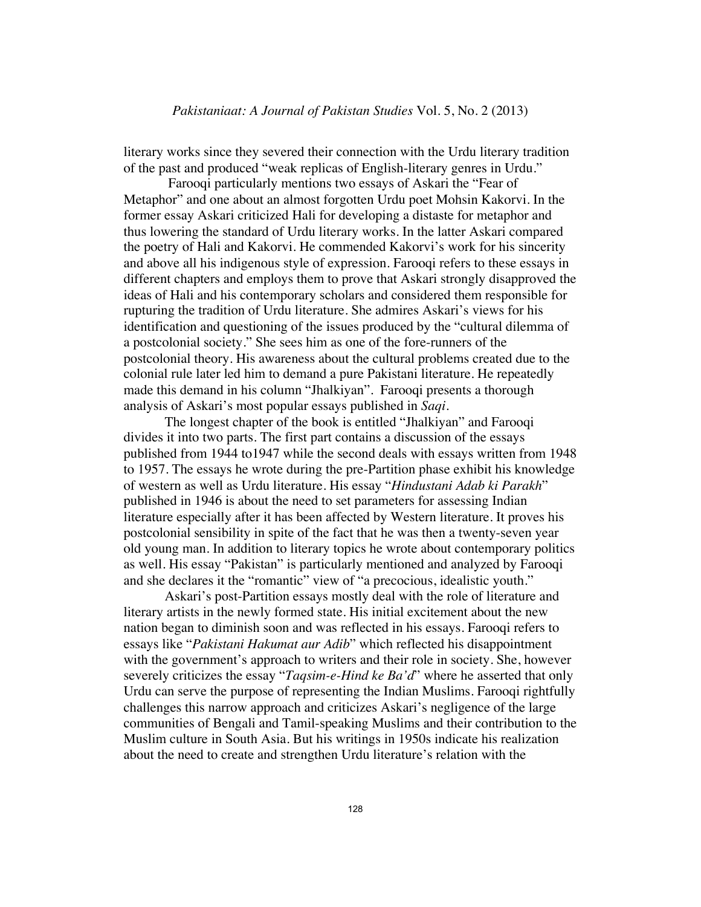literary works since they severed their connection with the Urdu literary tradition of the past and produced "weak replicas of English-literary genres in Urdu."

 Farooqi particularly mentions two essays of Askari the "Fear of Metaphor" and one about an almost forgotten Urdu poet Mohsin Kakorvi. In the former essay Askari criticized Hali for developing a distaste for metaphor and thus lowering the standard of Urdu literary works. In the latter Askari compared the poetry of Hali and Kakorvi. He commended Kakorvi's work for his sincerity and above all his indigenous style of expression. Farooqi refers to these essays in different chapters and employs them to prove that Askari strongly disapproved the ideas of Hali and his contemporary scholars and considered them responsible for rupturing the tradition of Urdu literature. She admires Askari's views for his identification and questioning of the issues produced by the "cultural dilemma of a postcolonial society." She sees him as one of the fore-runners of the postcolonial theory. His awareness about the cultural problems created due to the colonial rule later led him to demand a pure Pakistani literature. He repeatedly made this demand in his column "Jhalkiyan". Farooqi presents a thorough analysis of Askari's most popular essays published in *Saqi*.

 The longest chapter of the book is entitled "Jhalkiyan" and Farooqi divides it into two parts. The first part contains a discussion of the essays published from 1944 to1947 while the second deals with essays written from 1948 to 1957. The essays he wrote during the pre-Partition phase exhibit his knowledge of western as well as Urdu literature. His essay "*Hindustani Adab ki Parakh*" published in 1946 is about the need to set parameters for assessing Indian literature especially after it has been affected by Western literature. It proves his postcolonial sensibility in spite of the fact that he was then a twenty-seven year old young man. In addition to literary topics he wrote about contemporary politics as well. His essay "Pakistan" is particularly mentioned and analyzed by Farooqi and she declares it the "romantic" view of "a precocious, idealistic youth."

 Askari's post-Partition essays mostly deal with the role of literature and literary artists in the newly formed state. His initial excitement about the new nation began to diminish soon and was reflected in his essays. Farooqi refers to essays like "*Pakistani Hakumat aur Adib*" which reflected his disappointment with the government's approach to writers and their role in society. She, however severely criticizes the essay "*Taqsim-e-Hind ke Ba'd*" where he asserted that only Urdu can serve the purpose of representing the Indian Muslims. Farooqi rightfully challenges this narrow approach and criticizes Askari's negligence of the large communities of Bengali and Tamil-speaking Muslims and their contribution to the Muslim culture in South Asia. But his writings in 1950s indicate his realization about the need to create and strengthen Urdu literature's relation with the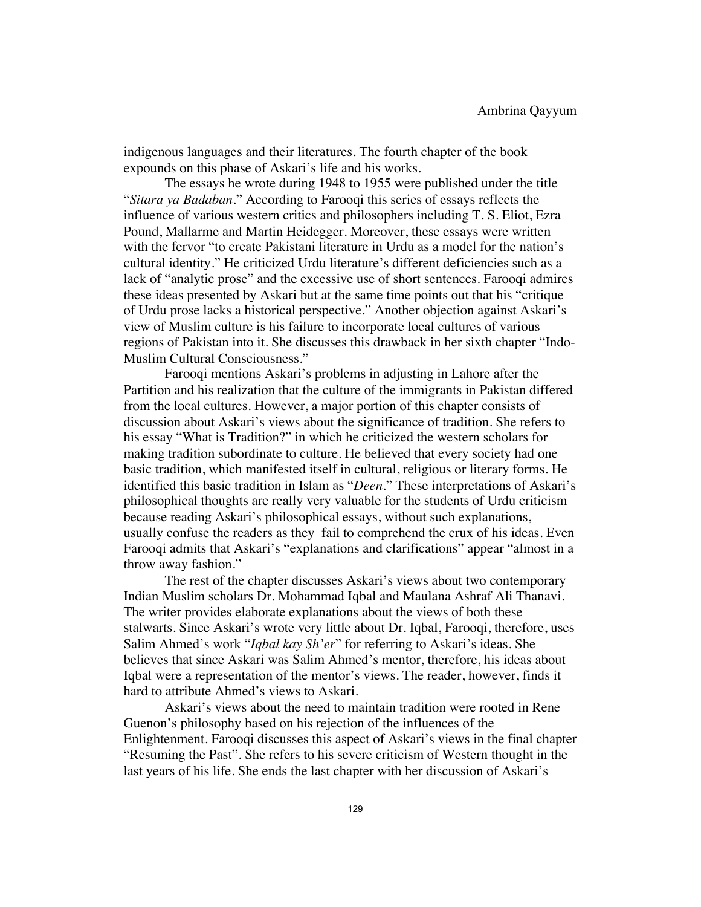indigenous languages and their literatures. The fourth chapter of the book expounds on this phase of Askari's life and his works.

 The essays he wrote during 1948 to 1955 were published under the title "*Sitara ya Badaban.*" According to Farooqi this series of essays reflects the influence of various western critics and philosophers including T. S. Eliot, Ezra Pound, Mallarme and Martin Heidegger. Moreover, these essays were written with the fervor "to create Pakistani literature in Urdu as a model for the nation's cultural identity." He criticized Urdu literature's different deficiencies such as a lack of "analytic prose" and the excessive use of short sentences. Farooqi admires these ideas presented by Askari but at the same time points out that his "critique of Urdu prose lacks a historical perspective." Another objection against Askari's view of Muslim culture is his failure to incorporate local cultures of various regions of Pakistan into it. She discusses this drawback in her sixth chapter "Indo-Muslim Cultural Consciousness."

 Farooqi mentions Askari's problems in adjusting in Lahore after the Partition and his realization that the culture of the immigrants in Pakistan differed from the local cultures. However, a major portion of this chapter consists of discussion about Askari's views about the significance of tradition. She refers to his essay "What is Tradition?" in which he criticized the western scholars for making tradition subordinate to culture. He believed that every society had one basic tradition, which manifested itself in cultural, religious or literary forms. He identified this basic tradition in Islam as "*Deen.*" These interpretations of Askari's philosophical thoughts are really very valuable for the students of Urdu criticism because reading Askari's philosophical essays, without such explanations, usually confuse the readers as they fail to comprehend the crux of his ideas. Even Farooqi admits that Askari's "explanations and clarifications" appear "almost in a throw away fashion."

 The rest of the chapter discusses Askari's views about two contemporary Indian Muslim scholars Dr. Mohammad Iqbal and Maulana Ashraf Ali Thanavi. The writer provides elaborate explanations about the views of both these stalwarts. Since Askari's wrote very little about Dr. Iqbal, Farooqi, therefore, uses Salim Ahmed's work "*Iqbal kay Sh'er*" for referring to Askari's ideas. She believes that since Askari was Salim Ahmed's mentor, therefore, his ideas about Iqbal were a representation of the mentor's views. The reader, however, finds it hard to attribute Ahmed's views to Askari.

 Askari's views about the need to maintain tradition were rooted in Rene Guenon's philosophy based on his rejection of the influences of the Enlightenment. Farooqi discusses this aspect of Askari's views in the final chapter "Resuming the Past". She refers to his severe criticism of Western thought in the last years of his life. She ends the last chapter with her discussion of Askari's